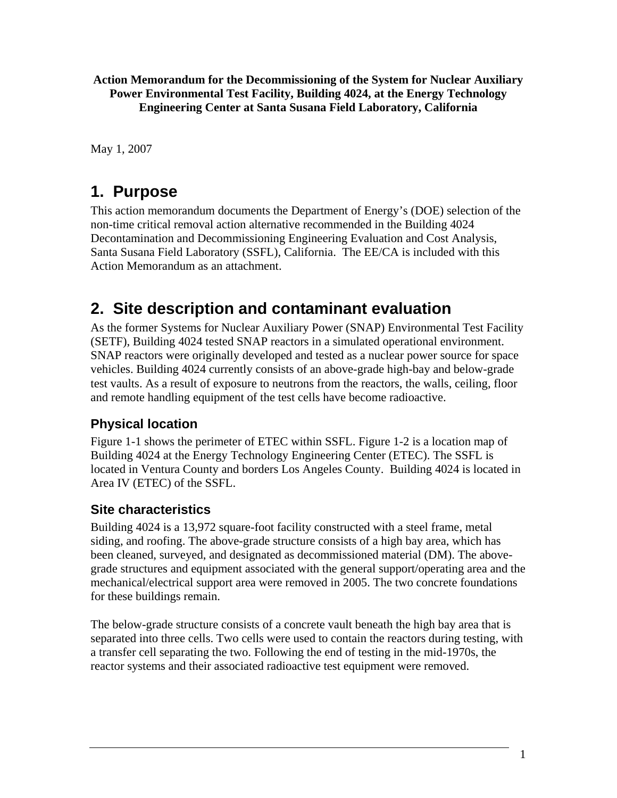**Action Memorandum for the Decommissioning of the System for Nuclear Auxiliary Power Environmental Test Facility, Building 4024, at the Energy Technology Engineering Center at Santa Susana Field Laboratory, California** 

May 1, 2007

### **1. Purpose**

This action memorandum documents the Department of Energy's (DOE) selection of the non-time critical removal action alternative recommended in the Building 4024 Decontamination and Decommissioning Engineering Evaluation and Cost Analysis, Santa Susana Field Laboratory (SSFL), California. The EE/CA is included with this Action Memorandum as an attachment.

# **2. Site description and contaminant evaluation**

As the former Systems for Nuclear Auxiliary Power (SNAP) Environmental Test Facility (SETF), Building 4024 tested SNAP reactors in a simulated operational environment. SNAP reactors were originally developed and tested as a nuclear power source for space vehicles. Building 4024 currently consists of an above-grade high-bay and below-grade test vaults. As a result of exposure to neutrons from the reactors, the walls, ceiling, floor and remote handling equipment of the test cells have become radioactive.

### **Physical location**

Figure 1-1 shows the perimeter of ETEC within SSFL. Figure 1-2 is a location map of Building 4024 at the Energy Technology Engineering Center (ETEC). The SSFL is located in Ventura County and borders Los Angeles County. Building 4024 is located in Area IV (ETEC) of the SSFL.

### **Site characteristics**

Building 4024 is a 13,972 square-foot facility constructed with a steel frame, metal siding, and roofing. The above-grade structure consists of a high bay area, which has been cleaned, surveyed, and designated as decommissioned material (DM). The abovegrade structures and equipment associated with the general support/operating area and the mechanical/electrical support area were removed in 2005. The two concrete foundations for these buildings remain.

The below-grade structure consists of a concrete vault beneath the high bay area that is separated into three cells. Two cells were used to contain the reactors during testing, with a transfer cell separating the two. Following the end of testing in the mid-1970s, the reactor systems and their associated radioactive test equipment were removed.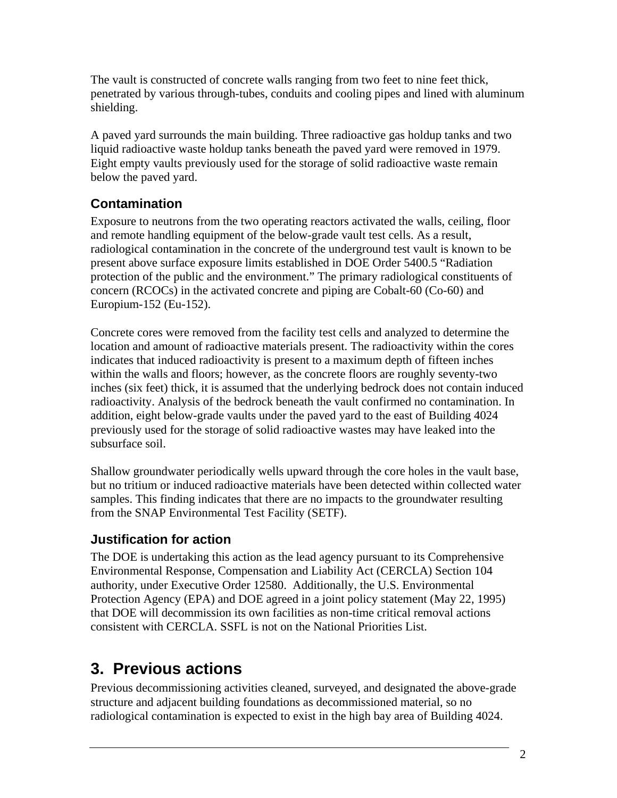The vault is constructed of concrete walls ranging from two feet to nine feet thick, penetrated by various through-tubes, conduits and cooling pipes and lined with aluminum shielding.

A paved yard surrounds the main building. Three radioactive gas holdup tanks and two liquid radioactive waste holdup tanks beneath the paved yard were removed in 1979. Eight empty vaults previously used for the storage of solid radioactive waste remain below the paved yard.

### **Contamination**

Exposure to neutrons from the two operating reactors activated the walls, ceiling, floor and remote handling equipment of the below-grade vault test cells. As a result, radiological contamination in the concrete of the underground test vault is known to be present above surface exposure limits established in DOE Order 5400.5 "Radiation protection of the public and the environment." The primary radiological constituents of concern (RCOCs) in the activated concrete and piping are Cobalt-60 (Co-60) and Europium-152 (Eu-152).

Concrete cores were removed from the facility test cells and analyzed to determine the location and amount of radioactive materials present. The radioactivity within the cores indicates that induced radioactivity is present to a maximum depth of fifteen inches within the walls and floors; however, as the concrete floors are roughly seventy-two inches (six feet) thick, it is assumed that the underlying bedrock does not contain induced radioactivity. Analysis of the bedrock beneath the vault confirmed no contamination. In addition, eight below-grade vaults under the paved yard to the east of Building 4024 previously used for the storage of solid radioactive wastes may have leaked into the subsurface soil.

Shallow groundwater periodically wells upward through the core holes in the vault base, but no tritium or induced radioactive materials have been detected within collected water samples. This finding indicates that there are no impacts to the groundwater resulting from the SNAP Environmental Test Facility (SETF).

### **Justification for action**

The DOE is undertaking this action as the lead agency pursuant to its Comprehensive Environmental Response, Compensation and Liability Act (CERCLA) Section 104 authority, under Executive Order 12580. Additionally, the U.S. Environmental Protection Agency (EPA) and DOE agreed in a joint policy statement (May 22, 1995) that DOE will decommission its own facilities as non-time critical removal actions consistent with CERCLA. SSFL is not on the National Priorities List.

## **3. Previous actions**

Previous decommissioning activities cleaned, surveyed, and designated the above-grade structure and adjacent building foundations as decommissioned material, so no radiological contamination is expected to exist in the high bay area of Building 4024.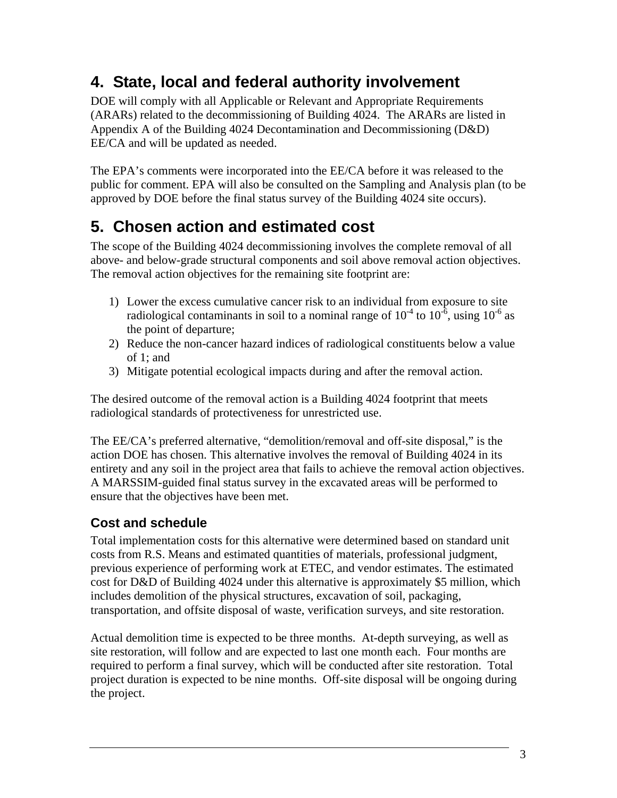## **4. State, local and federal authority involvement**

DOE will comply with all Applicable or Relevant and Appropriate Requirements (ARARs) related to the decommissioning of Building 4024. The ARARs are listed in Appendix A of the Building 4024 Decontamination and Decommissioning (D&D) EE/CA and will be updated as needed.

The EPA's comments were incorporated into the EE/CA before it was released to the public for comment. EPA will also be consulted on the Sampling and Analysis plan (to be approved by DOE before the final status survey of the Building 4024 site occurs).

# **5. Chosen action and estimated cost**

The scope of the Building 4024 decommissioning involves the complete removal of all above- and below-grade structural components and soil above removal action objectives. The removal action objectives for the remaining site footprint are:

- 1) Lower the excess cumulative cancer risk to an individual from exposure to site radiological contaminants in soil to a nominal range of  $10^{-4}$  to  $10^{-6}$ , using  $10^{-6}$  as the point of departure;
- 2) Reduce the non-cancer hazard indices of radiological constituents below a value of 1; and
- 3) Mitigate potential ecological impacts during and after the removal action.

The desired outcome of the removal action is a Building 4024 footprint that meets radiological standards of protectiveness for unrestricted use.

The EE/CA's preferred alternative, "demolition/removal and off-site disposal," is the action DOE has chosen. This alternative involves the removal of Building 4024 in its entirety and any soil in the project area that fails to achieve the removal action objectives. A MARSSIM-guided final status survey in the excavated areas will be performed to ensure that the objectives have been met.

### **Cost and schedule**

Total implementation costs for this alternative were determined based on standard unit costs from R.S. Means and estimated quantities of materials, professional judgment, previous experience of performing work at ETEC, and vendor estimates. The estimated cost for D&D of Building 4024 under this alternative is approximately \$5 million, which includes demolition of the physical structures, excavation of soil, packaging, transportation, and offsite disposal of waste, verification surveys, and site restoration.

Actual demolition time is expected to be three months. At-depth surveying, as well as site restoration, will follow and are expected to last one month each. Four months are required to perform a final survey, which will be conducted after site restoration. Total project duration is expected to be nine months. Off-site disposal will be ongoing during the project.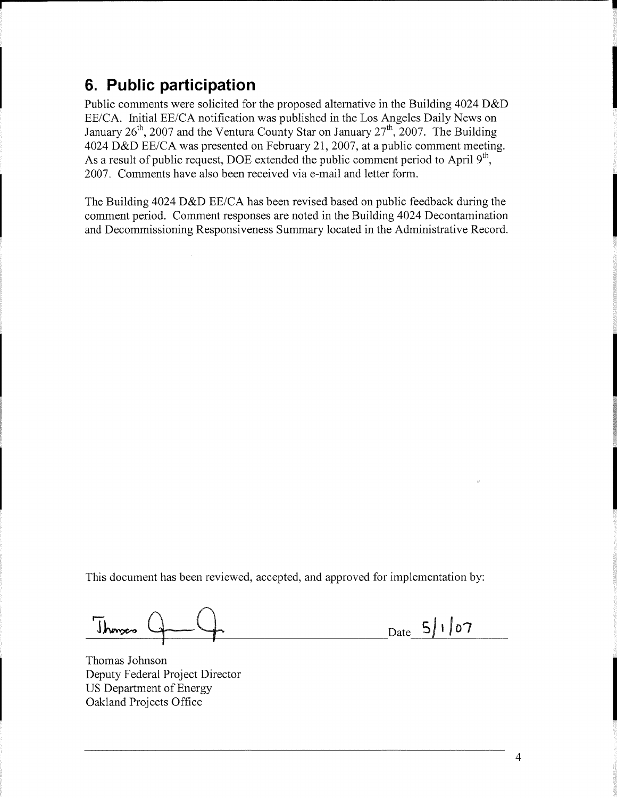### 6. Public participation

Public comments were solicited for the proposed alternative in the Building 4024 D&D EE/CA. Initial EE/CA notification was published in the Los Angeles Daily News on January 26<sup>th</sup>, 2007 and the Ventura County Star on January 27<sup>th</sup>, 2007. The Building 4024 D&D EE/CA was presented on February 21, 2007, at a public comment meeting. As a result of public request, DOE extended the public comment period to April 9<sup>th</sup>, 2007. Comments have also been received via e-mail and letter form.

The Building 4024 D&D EE/CA has been revised based on public feedback during the comment period. Comment responses are noted in the Building 4024 Decontamination and Decommissioning Responsiveness Summary located in the Administrative Record.

This document has been reviewed, accepted, and approved for implementation by:

Thomas  $Date$  5/1/07

Thomas Johnson Deputy Federal Project Director US Department of Energy Oakland Projects Office

 $\overline{4}$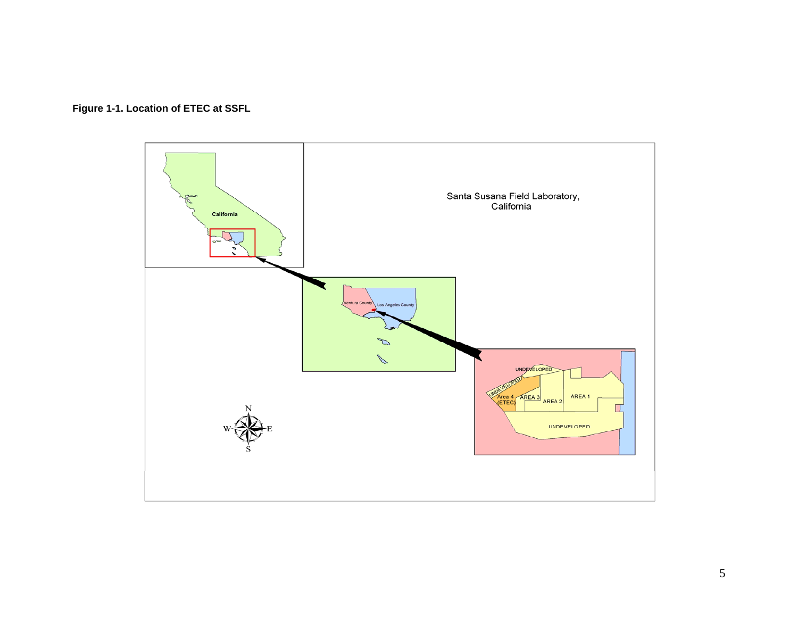